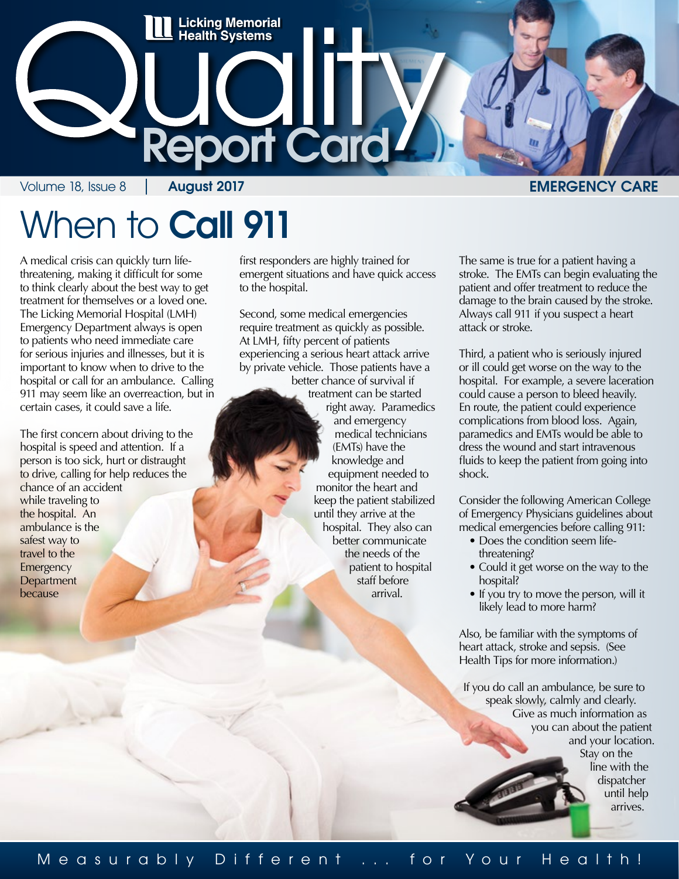

# When to **Call 911**

A medical crisis can quickly turn lifethreatening, making it difficult for some to think clearly about the best way to get treatment for themselves or a loved one. The Licking Memorial Hospital (LMH) Emergency Department always is open to patients who need immediate care for serious injuries and illnesses, but it is important to know when to drive to the hospital or call for an ambulance. Calling 911 may seem like an overreaction, but in certain cases, it could save a life.

The first concern about driving to the hospital is speed and attention. If a person is too sick, hurt or distraught to drive, calling for help reduces the chance of an accident while traveling to the hospital. An ambulance is the safest way to travel to the **Emergency Department** because

first responders are highly trained for emergent situations and have quick access to the hospital.

Second, some medical emergencies require treatment as quickly as possible. At LMH, fifty percent of patients experiencing a serious heart attack arrive by private vehicle. Those patients have a

better chance of survival if treatment can be started right away. Paramedics and emergency medical technicians (EMTs) have the knowledge and equipment needed to monitor the heart and keep the patient stabilized until they arrive at the hospital. They also can better communicate the needs of the patient to hospital staff before arrival.

The same is true for a patient having a stroke. The EMTs can begin evaluating the patient and offer treatment to reduce the damage to the brain caused by the stroke. Always call 911 if you suspect a heart attack or stroke.

Third, a patient who is seriously injured or ill could get worse on the way to the hospital. For example, a severe laceration could cause a person to bleed heavily. En route, the patient could experience complications from blood loss. Again, paramedics and EMTs would be able to dress the wound and start intravenous fluids to keep the patient from going into shock.

Consider the following American College of Emergency Physicians guidelines about medical emergencies before calling 911:

- Does the condition seem lifethreatening?
- Could it get worse on the way to the hospital?
- If you try to move the person, will it likely lead to more harm?

Also, be familiar with the symptoms of heart attack, stroke and sepsis. (See Health Tips for more information.)

If you do call an ambulance, be sure to speak slowly, calmly and clearly. Give as much information as you can about the patient and your location. Stay on the line with the dispatcher until help arrives.

#### Measurably Different ... for Your Health!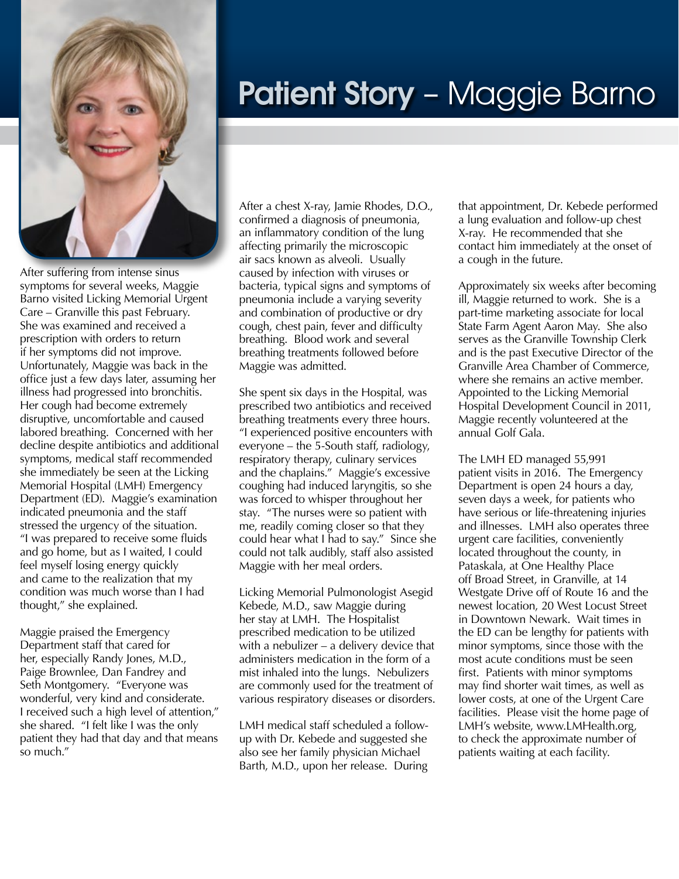

After suffering from intense sinus symptoms for several weeks, Maggie Barno visited Licking Memorial Urgent Care – Granville this past February. She was examined and received a prescription with orders to return if her symptoms did not improve. Unfortunately, Maggie was back in the office just a few days later, assuming her illness had progressed into bronchitis. Her cough had become extremely disruptive, uncomfortable and caused labored breathing. Concerned with her decline despite antibiotics and additional symptoms, medical staff recommended she immediately be seen at the Licking Memorial Hospital (LMH) Emergency Department (ED). Maggie's examination indicated pneumonia and the staff stressed the urgency of the situation. "I was prepared to receive some fluids and go home, but as I waited, I could feel myself losing energy quickly and came to the realization that my condition was much worse than I had thought," she explained.

Maggie praised the Emergency Department staff that cared for her, especially Randy Jones, M.D., Paige Brownlee, Dan Fandrey and Seth Montgomery. "Everyone was wonderful, very kind and considerate. I received such a high level of attention," she shared. "I felt like I was the only patient they had that day and that means so much."

### **Patient Story –** Maggie Barno

After a chest X-ray, Jamie Rhodes, D.O., confirmed a diagnosis of pneumonia, an inflammatory condition of the lung affecting primarily the microscopic air sacs known as alveoli. Usually caused by infection with viruses or bacteria, typical signs and symptoms of pneumonia include a varying severity and combination of productive or dry cough, chest pain, fever and difficulty breathing. Blood work and several breathing treatments followed before Maggie was admitted.

She spent six days in the Hospital, was prescribed two antibiotics and received breathing treatments every three hours. "I experienced positive encounters with everyone – the 5-South staff, radiology, respiratory therapy, culinary services and the chaplains." Maggie's excessive coughing had induced laryngitis, so she was forced to whisper throughout her stay. "The nurses were so patient with me, readily coming closer so that they could hear what I had to say." Since she could not talk audibly, staff also assisted Maggie with her meal orders.

Licking Memorial Pulmonologist Asegid Kebede, M.D., saw Maggie during her stay at LMH. The Hospitalist prescribed medication to be utilized with a nebulizer – a delivery device that administers medication in the form of a mist inhaled into the lungs. Nebulizers are commonly used for the treatment of various respiratory diseases or disorders.

LMH medical staff scheduled a followup with Dr. Kebede and suggested she also see her family physician Michael Barth, M.D., upon her release. During that appointment, Dr. Kebede performed a lung evaluation and follow-up chest X-ray. He recommended that she contact him immediately at the onset of a cough in the future.

Approximately six weeks after becoming ill, Maggie returned to work. She is a part-time marketing associate for local State Farm Agent Aaron May. She also serves as the Granville Township Clerk and is the past Executive Director of the Granville Area Chamber of Commerce, where she remains an active member. Appointed to the Licking Memorial Hospital Development Council in 2011, Maggie recently volunteered at the annual Golf Gala.

The LMH ED managed 55,991 patient visits in 2016. The Emergency Department is open 24 hours a day, seven days a week, for patients who have serious or life-threatening injuries and illnesses. LMH also operates three urgent care facilities, conveniently located throughout the county, in Pataskala, at One Healthy Place off Broad Street, in Granville, at 14 Westgate Drive off of Route 16 and the newest location, 20 West Locust Street in Downtown Newark. Wait times in the ED can be lengthy for patients with minor symptoms, since those with the most acute conditions must be seen first. Patients with minor symptoms may find shorter wait times, as well as lower costs, at one of the Urgent Care facilities. Please visit the home page of LMH's website, www.LMHealth.org, to check the approximate number of patients waiting at each facility.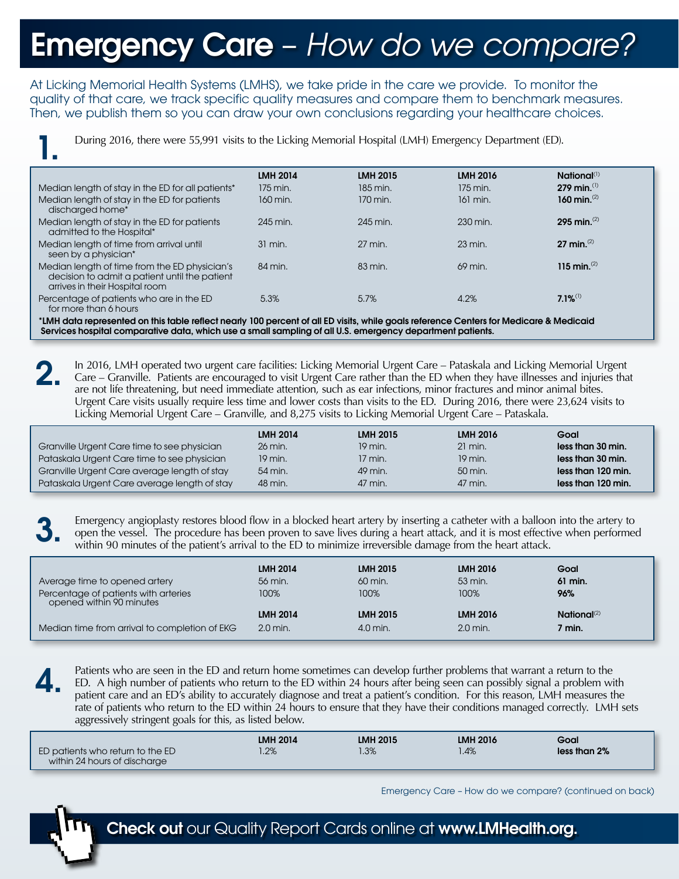## **Emergency Care** - How do we compare?

At Licking Memorial Health Systems (LMHS), we take pride in the care we provide. To monitor the quality of that care, we track specific quality measures and compare them to benchmark measures. Then, we publish them so you can draw your own conclusions regarding your healthcare choices.

During 2016, there were 55,991 visits to the Licking Memorial Hospital (LMH) Emergency Department (ED).

| During 2016, there were 55,991 visits to the Licking Memorial Hospital (LMH) Emergency Department (ED).                          |                 |                 |                    |                         |  |
|----------------------------------------------------------------------------------------------------------------------------------|-----------------|-----------------|--------------------|-------------------------|--|
|                                                                                                                                  | <b>LMH 2014</b> | <b>LMH 2015</b> | <b>LMH 2016</b>    | National <sup>(1)</sup> |  |
| Median length of stay in the ED for all patients*                                                                                | 175 min.        | 185 min.        | 175 min.           | 279 min. $(1)$          |  |
| Median length of stay in the ED for patients<br>discharged home*                                                                 | 160 min.        | 170 min.        | 161 min.           | 160 min. $(2)$          |  |
| Median length of stay in the ED for patients<br>admitted to the Hospital*                                                        | 245 min.        | 245 min.        | 230 min.           | 295 min. $^{(2)}$       |  |
| Median length of time from arrival until<br>seen by a physician*                                                                 | $31$ min.       | 27 min.         | $23 \text{ min}$ . | 27 min. $^{(2)}$        |  |
| Median length of time from the ED physician's<br>decision to admit a patient until the patient<br>arrives in their Hospital room | 84 min.         | 83 min.         | 69 min.            | 115 min. $(2)$          |  |
| Percentage of patients who are in the ED<br>for more than 6 hours                                                                | 5.3%            | 5.7%            | 4.2%               | $7.1\%$ <sup>(1)</sup>  |  |

\*LMH data represented on this table reflect nearly 100 percent of all ED visits, while goals reference Centers for Medicare & Medicaid Services hospital comparative data, which use a small sampling of all U.S. emergency department patients.

2. In 2016, LMH operated two urgent care facilities: Licking Memorial Urgent Care – Pataskala and Licking Memorial Urgent Care – Granville. Patients are encouraged to visit Urgent Care rather than the ED when they have illnesses and injuries that are not life threatening, but need immediate attention, such as ear infections, minor fractures and minor animal bites. Urgent Care visits usually require less time and lower costs than visits to the ED. During 2016, there were 23,624 visits to Licking Memorial Urgent Care – Granville, and 8,275 visits to Licking Memorial Urgent Care – Pataskala.

|                                              | <b>LMH 2014</b> | <b>LMH 2015</b> | <b>LMH 2016</b> | Goal               |
|----------------------------------------------|-----------------|-----------------|-----------------|--------------------|
| Granville Urgent Care time to see physician  | 26 min.         | 19 min.         | $21$ min.       | less than 30 min.  |
| Pataskala Urgent Care time to see physician  | 19 min.         | $17$ min.       | 19 min.         | less than 30 min.  |
| Granville Urgent Care average length of stay | 54 min.         | 49 min.         | $50$ min.       | less than 120 min. |
| Pataskala Urgent Care average length of stay | 48 min.         | 47 min.         | 47 min.         | less than 120 min. |

3. Emergency angioplasty restores blood flow in a blocked heart artery by inserting a catheter with a balloon into the artery to open the vessel. The procedure has been proven to save lives during a heart attack, and it is most effective when performed within 90 minutes of the patient's arrival to the ED to minimize irreversible damage from the heart attack.

| Average time to opened artery                                    | <b>LMH 2014</b><br>56 min. | <b>LMH 2015</b><br>60 min. | <b>LMH 2016</b><br>53 min. | Goal<br>61 min.         |
|------------------------------------------------------------------|----------------------------|----------------------------|----------------------------|-------------------------|
| Percentage of patients with arteries<br>opened within 90 minutes | 100%                       | 100%                       | 100%                       | 96%                     |
|                                                                  | <b>LMH 2014</b>            | <b>LMH 2015</b>            | <b>LMH 2016</b>            | National <sup>(2)</sup> |
| Median time from arrival to completion of EKG                    | $2.0$ min.                 | $4.0$ min.                 | $2.0$ min.                 | 7 min.                  |

4.

Patients who are seen in the ED and return home sometimes can develop further problems that warrant a return to the ED. A high number of patients who return to the ED within 24 hours after being seen can possibly signal a problem with patient care and an ED's ability to accurately diagnose and treat a patient's condition. For this reason, LMH measures the rate of patients who return to the ED within 24 hours to ensure that they have their conditions managed correctly. LMH sets aggressively stringent goals for this, as listed below.

|                                                                  | <b>LMH 2014</b> | <b>LMH 2015</b> | <b>LMH 2016</b> | Goal         |
|------------------------------------------------------------------|-----------------|-----------------|-----------------|--------------|
| ED patients who return to the ED<br>within 24 hours of discharge | 1.2%            | $1.3\%$         | 1.4%            | less than 2% |

Emergency Care – How do we compare? (continued on back)



Check out our Quality Report Cards online at www.LMHealth.org.